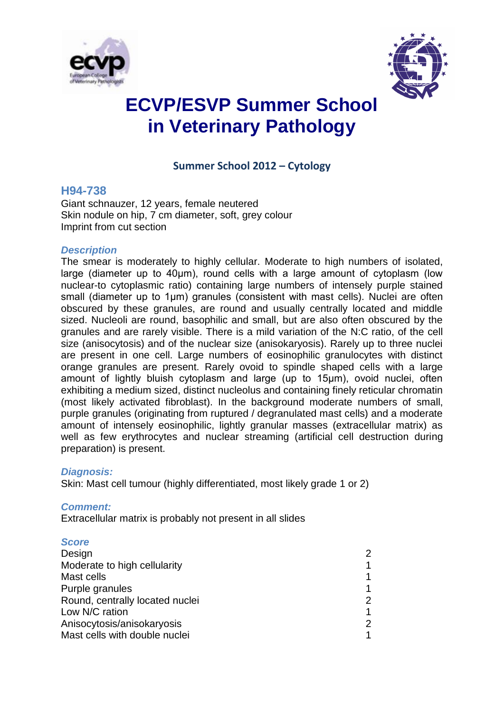



# **ECVP/ESVP Summer School in Veterinary Pathology**

### **Summer School 2012 – Cytology**

#### **H94-738**

Giant schnauzer, 12 years, female neutered Skin nodule on hip, 7 cm diameter, soft, grey colour Imprint from cut section

#### *Description*

The smear is moderately to highly cellular. Moderate to high numbers of isolated, large (diameter up to 40μm), round cells with a large amount of cytoplasm (low nuclear-to cytoplasmic ratio) containing large numbers of intensely purple stained small (diameter up to 1μm) granules (consistent with mast cells). Nuclei are often obscured by these granules, are round and usually centrally located and middle sized. Nucleoli are round, basophilic and small, but are also often obscured by the granules and are rarely visible. There is a mild variation of the N:C ratio, of the cell size (anisocytosis) and of the nuclear size (anisokaryosis). Rarely up to three nuclei are present in one cell. Large numbers of eosinophilic granulocytes with distinct orange granules are present. Rarely ovoid to spindle shaped cells with a large amount of lightly bluish cytoplasm and large (up to 15μm), ovoid nuclei, often exhibiting a medium sized, distinct nucleolus and containing finely reticular chromatin (most likely activated fibroblast). In the background moderate numbers of small, purple granules (originating from ruptured / degranulated mast cells) and a moderate amount of intensely eosinophilic, lightly granular masses (extracellular matrix) as well as few erythrocytes and nuclear streaming (artificial cell destruction during preparation) is present.

#### *Diagnosis:*

Skin: Mast cell tumour (highly differentiated, most likely grade 1 or 2)

#### *Comment:*

Extracellular matrix is probably not present in all slides

#### *Score*

| Design                          | 2              |
|---------------------------------|----------------|
| Moderate to high cellularity    | 1              |
| Mast cells                      | 1              |
| Purple granules                 | 1              |
| Round, centrally located nuclei | $\overline{2}$ |
| Low N/C ration                  | 1              |
| Anisocytosis/anisokaryosis      | 2              |
| Mast cells with double nuclei   | 1              |